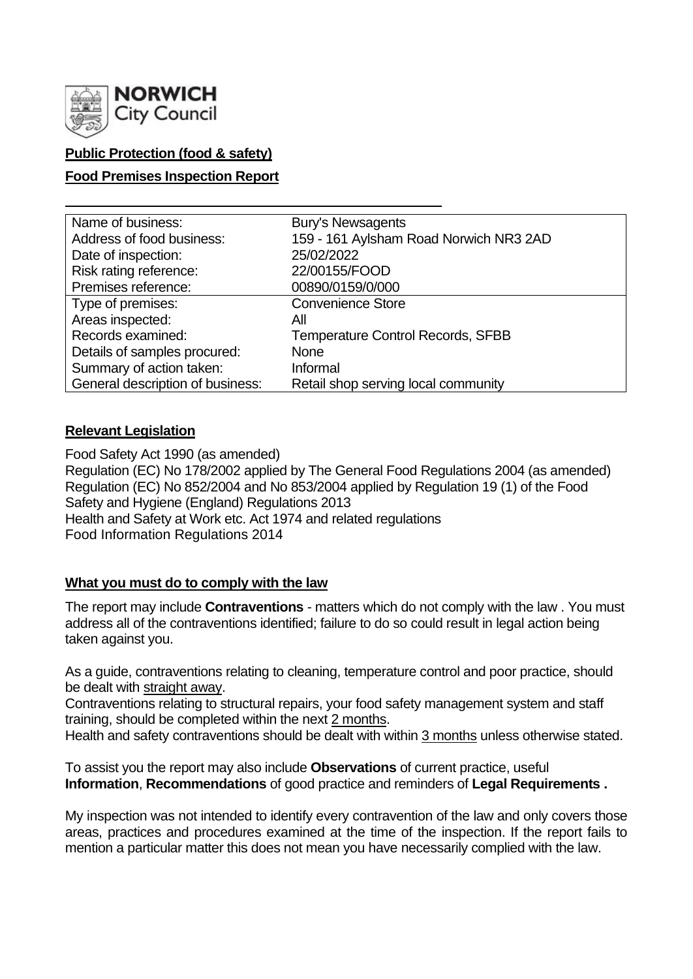

# **Public Protection (food & safety)**

### **Food Premises Inspection Report**

| Name of business:                | <b>Bury's Newsagents</b>                 |
|----------------------------------|------------------------------------------|
| Address of food business:        | 159 - 161 Aylsham Road Norwich NR3 2AD   |
| Date of inspection:              | 25/02/2022                               |
| Risk rating reference:           | 22/00155/FOOD                            |
| Premises reference:              | 00890/0159/0/000                         |
| Type of premises:                | <b>Convenience Store</b>                 |
| Areas inspected:                 | All                                      |
| Records examined:                | <b>Temperature Control Records, SFBB</b> |
| Details of samples procured:     | <b>None</b>                              |
| Summary of action taken:         | Informal                                 |
| General description of business: | Retail shop serving local community      |

#### **Relevant Legislation**

Food Safety Act 1990 (as amended) Regulation (EC) No 178/2002 applied by The General Food Regulations 2004 (as amended) Regulation (EC) No 852/2004 and No 853/2004 applied by Regulation 19 (1) of the Food Safety and Hygiene (England) Regulations 2013 Health and Safety at Work etc. Act 1974 and related regulations Food Information Regulations 2014

#### **What you must do to comply with the law**

The report may include **Contraventions** - matters which do not comply with the law . You must address all of the contraventions identified; failure to do so could result in legal action being taken against you.

As a guide, contraventions relating to cleaning, temperature control and poor practice, should be dealt with straight away.

Contraventions relating to structural repairs, your food safety management system and staff training, should be completed within the next 2 months.

Health and safety contraventions should be dealt with within 3 months unless otherwise stated.

To assist you the report may also include **Observations** of current practice, useful **Information**, **Recommendations** of good practice and reminders of **Legal Requirements .**

My inspection was not intended to identify every contravention of the law and only covers those areas, practices and procedures examined at the time of the inspection. If the report fails to mention a particular matter this does not mean you have necessarily complied with the law.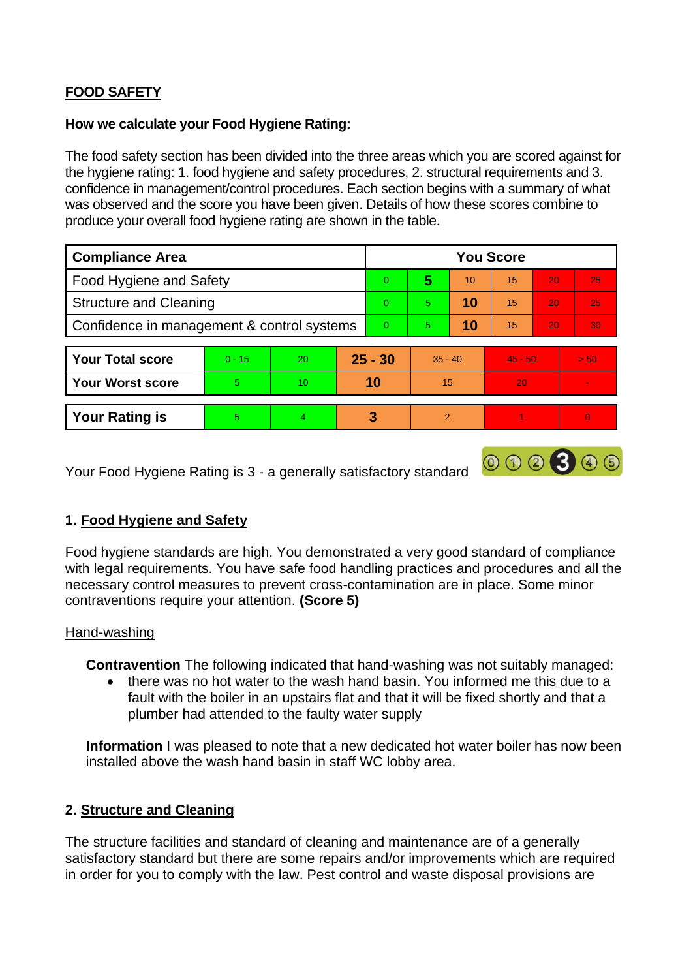# **FOOD SAFETY**

#### **How we calculate your Food Hygiene Rating:**

The food safety section has been divided into the three areas which you are scored against for the hygiene rating: 1. food hygiene and safety procedures, 2. structural requirements and 3. confidence in management/control procedures. Each section begins with a summary of what was observed and the score you have been given. Details of how these scores combine to produce your overall food hygiene rating are shown in the table.

| <b>Compliance Area</b>                     |          |    |           | <b>You Score</b> |                |    |           |    |                 |  |
|--------------------------------------------|----------|----|-----------|------------------|----------------|----|-----------|----|-----------------|--|
| Food Hygiene and Safety                    |          |    |           | $\overline{0}$   | 5              | 10 | 15        | 20 | 25              |  |
| <b>Structure and Cleaning</b>              |          |    |           | $\Omega$         | 5.             | 10 | 15        | 20 | 25              |  |
| Confidence in management & control systems |          |    |           | $\Omega$         | 5.             | 10 | 15        | 20 | 30 <sub>1</sub> |  |
| <b>Your Total score</b>                    | $0 - 15$ | 20 | $25 - 30$ |                  | $35 - 40$      |    | $45 - 50$ |    | > 50            |  |
| <b>Your Worst score</b>                    | 5        | 10 | 10        |                  | 15             |    | 20        |    | $\blacksquare$  |  |
| <b>Your Rating is</b>                      | 5        | 4  |           | 3                | $\overline{2}$ |    |           |    | $\overline{0}$  |  |

Your Food Hygiene Rating is 3 - a generally satisfactory standard

# **1. Food Hygiene and Safety**

Food hygiene standards are high. You demonstrated a very good standard of compliance with legal requirements. You have safe food handling practices and procedures and all the necessary control measures to prevent cross-contamination are in place. Some minor contraventions require your attention. **(Score 5)**

000300

#### Hand-washing

**Contravention** The following indicated that hand-washing was not suitably managed:

• there was no hot water to the wash hand basin. You informed me this due to a fault with the boiler in an upstairs flat and that it will be fixed shortly and that a plumber had attended to the faulty water supply

**Information** I was pleased to note that a new dedicated hot water boiler has now been installed above the wash hand basin in staff WC lobby area.

# **2. Structure and Cleaning**

The structure facilities and standard of cleaning and maintenance are of a generally satisfactory standard but there are some repairs and/or improvements which are required in order for you to comply with the law. Pest control and waste disposal provisions are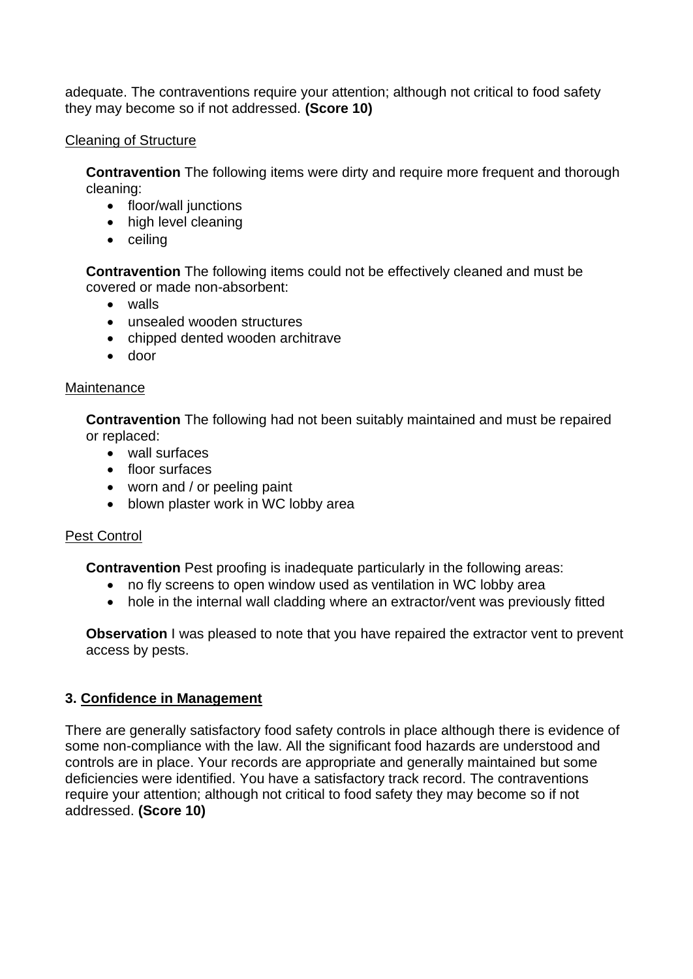adequate. The contraventions require your attention; although not critical to food safety they may become so if not addressed. **(Score 10)**

### Cleaning of Structure

**Contravention** The following items were dirty and require more frequent and thorough cleaning:

- floor/wall junctions
- high level cleaning
- ceiling

**Contravention** The following items could not be effectively cleaned and must be covered or made non-absorbent:

- walls
- unsealed wooden structures
- chipped dented wooden architrave
- door

### **Maintenance**

**Contravention** The following had not been suitably maintained and must be repaired or replaced:

- wall surfaces
- floor surfaces
- worn and / or peeling paint
- blown plaster work in WC lobby area

# Pest Control

**Contravention** Pest proofing is inadequate particularly in the following areas:

- no fly screens to open window used as ventilation in WC lobby area
- hole in the internal wall cladding where an extractor/vent was previously fitted

**Observation** I was pleased to note that you have repaired the extractor vent to prevent access by pests.

# **3. Confidence in Management**

There are generally satisfactory food safety controls in place although there is evidence of some non-compliance with the law. All the significant food hazards are understood and controls are in place. Your records are appropriate and generally maintained but some deficiencies were identified. You have a satisfactory track record. The contraventions require your attention; although not critical to food safety they may become so if not addressed. **(Score 10)**